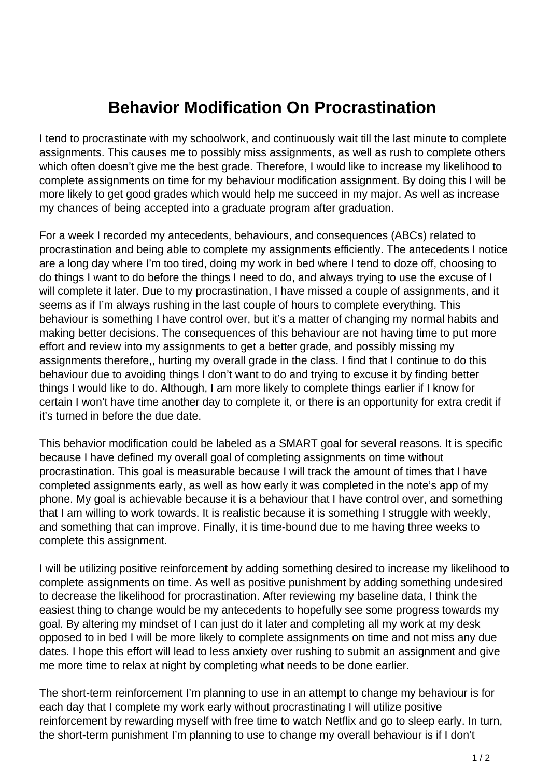## **Behavior Modification On Procrastination**

I tend to procrastinate with my schoolwork, and continuously wait till the last minute to complete assignments. This causes me to possibly miss assignments, as well as rush to complete others which often doesn't give me the best grade. Therefore, I would like to increase my likelihood to complete assignments on time for my behaviour modification assignment. By doing this I will be more likely to get good grades which would help me succeed in my major. As well as increase my chances of being accepted into a graduate program after graduation.

For a week I recorded my antecedents, behaviours, and consequences (ABCs) related to procrastination and being able to complete my assignments efficiently. The antecedents I notice are a long day where I'm too tired, doing my work in bed where I tend to doze off, choosing to do things I want to do before the things I need to do, and always trying to use the excuse of I will complete it later. Due to my procrastination, I have missed a couple of assignments, and it seems as if I'm always rushing in the last couple of hours to complete everything. This behaviour is something I have control over, but it's a matter of changing my normal habits and making better decisions. The consequences of this behaviour are not having time to put more effort and review into my assignments to get a better grade, and possibly missing my assignments therefore,, hurting my overall grade in the class. I find that I continue to do this behaviour due to avoiding things I don't want to do and trying to excuse it by finding better things I would like to do. Although, I am more likely to complete things earlier if I know for certain I won't have time another day to complete it, or there is an opportunity for extra credit if it's turned in before the due date.

This behavior modification could be labeled as a SMART goal for several reasons. It is specific because I have defined my overall goal of completing assignments on time without procrastination. This goal is measurable because I will track the amount of times that I have completed assignments early, as well as how early it was completed in the note's app of my phone. My goal is achievable because it is a behaviour that I have control over, and something that I am willing to work towards. It is realistic because it is something I struggle with weekly, and something that can improve. Finally, it is time-bound due to me having three weeks to complete this assignment.

I will be utilizing positive reinforcement by adding something desired to increase my likelihood to complete assignments on time. As well as positive punishment by adding something undesired to decrease the likelihood for procrastination. After reviewing my baseline data, I think the easiest thing to change would be my antecedents to hopefully see some progress towards my goal. By altering my mindset of I can just do it later and completing all my work at my desk opposed to in bed I will be more likely to complete assignments on time and not miss any due dates. I hope this effort will lead to less anxiety over rushing to submit an assignment and give me more time to relax at night by completing what needs to be done earlier.

The short-term reinforcement I'm planning to use in an attempt to change my behaviour is for each day that I complete my work early without procrastinating I will utilize positive reinforcement by rewarding myself with free time to watch Netflix and go to sleep early. In turn, the short-term punishment I'm planning to use to change my overall behaviour is if I don't